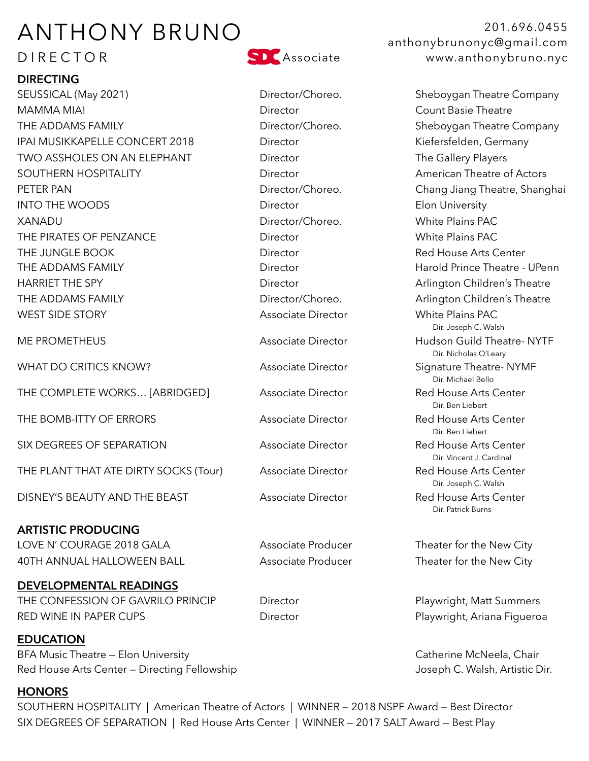# ANTHONY BRUNO

# DIRECTOR

# **DIRECTING**

SEUSSICAL (May 2021) The Director/Choreo. Sheboygan Theatre Company MAMMA MIA! Director Count Basie Theatre THE ADDAMS FAMILY **Example 20 Figure 1 Company** Director/Choreo. Sheboygan Theatre Company IPAI MUSIKKAPELLE CONCERT 2018 Director Concert Controller Musik Kiefersfelden, Germany TWO ASSHOLES ON AN ELEPHANT Director Director The Gallery Players SOUTHERN HOSPITALITY **Director** Director **American Theatre of Actors** PETER PAN Director/Choreo. Chang Jiang Theatre, Shanghai INTO THE WOODS **Elon University** Director **Director** Elon University XANADU Director/Choreo. White Plains PAC THE PIRATES OF PENZANCE Director White Plains PAC THE JUNGLE BOOK Director Red House Arts Center THE ADDAMS FAMILY **THE ADDAMS FAMILY Example 2** Director **Harold Prince Theatre - UPenn** HARRIET THE SPY **Director** Director **Arlington Children's Theatre** THE ADDAMS FAMILY **Example 20 Find Contract Contract Choreo.** Arlington Children's Theatre WEST SIDE STORY **Associate Director** White Plains PAC ME PROMETHEUS **Associate Director** Hudson Guild Theatre- NYTF WHAT DO CRITICS KNOW?  $\overline{a}$  Associate Director Signature Theatre-NYMF

THE BOMB-ITTY OF ERRORS Associate Director Red House Arts Center

SIX DEGREES OF SEPARATION Associate Director Red House Arts Center

THE PLANT THAT ATE DIRTY SOCKS (Tour) Associate Director Red House Arts Center

DISNEY'S BEAUTY AND THE BEAST Associate Director Red House Arts Center

### **ARTISTIC PRODUCING**

LOVE N' COURAGE 2018 GALA Associate Producer Theater for the New City AOTH ANNUAL HALLOWEEN BALL Associate Producer Theater for the New City

# **DEVELOPMENTAL READINGS**  THE CONFESSION OF GAVRILO PRINCIP Director **Director** Playwright, Matt Summers

**EDUCATION** BFA Music Theatre – Elon University **Catherine McNeela, Chair** Catherine McNeela, Chair Red House Arts Center – Directing Fellowship Joseph C. Walsh, Artistic Dir.

# **HONORS**

SOUTHERN HOSPITALITY | American Theatre of Actors | WINNER — 2018 NSPF Award — Best Director SIX DEGREES OF SEPARATION | Red House Arts Center | WINNER — 2017 SALT Award — Best Play



 Dir. Michael Bello Dir. Ben Liebert Dir. Ben Liebert Dir. Patrick Burns

201.696.0455 anthonybrunonyc@gmail.com www.anthonybruno.nyc

 Dir. Joseph C. Walsh Dir. Nicholas O'Leary THE COMPLETE WORKS... [ABRIDGED] Associate Director Red House Arts Center<br>Dir. Ben Liebert Dir. Vincent J. Cardinal Dir. Joseph C. Walsh

RED WINE IN PAPER CUPS **Director** Playwright, Ariana Figueroa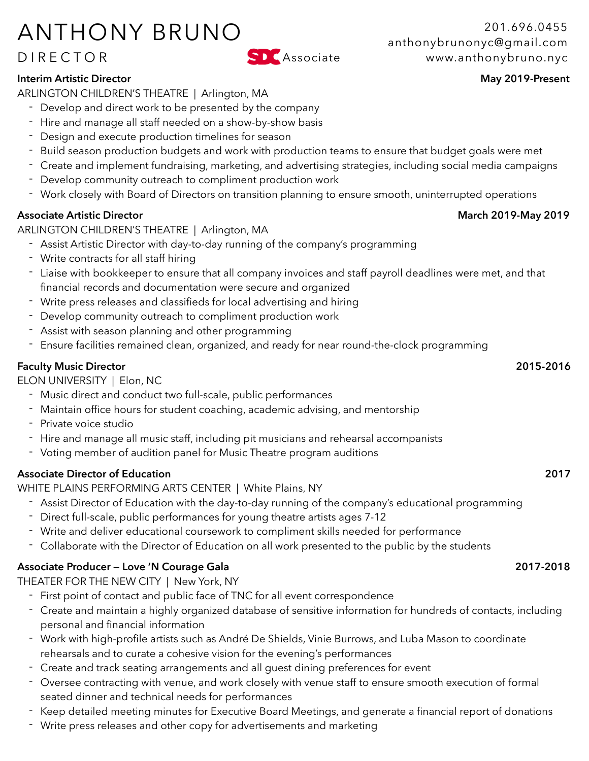# ANTHONY BRUNO

# DIRECTOR

## **Interim Artistic Director** May 2019-Present

ARLINGTON CHILDREN'S THEATRE | Arlington, MA

- Develop and direct work to be presented by the company
- Hire and manage all staff needed on a show-by-show basis
- Design and execute production timelines for season
- Build season production budgets and work with production teams to ensure that budget goals were met
- Create and implement fundraising, marketing, and advertising strategies, including social media campaigns
- Develop community outreach to compliment production work
- Work closely with Board of Directors on transition planning to ensure smooth, uninterrupted operations

## Associate Artistic Director **March 2019-May 2019 March 2019-May 2019**

ARLINGTON CHILDREN'S THEATRE | Arlington, MA

- Assist Artistic Director with day-to-day running of the company's programming
- Write contracts for all staff hiring
- Liaise with bookkeeper to ensure that all company invoices and staff payroll deadlines were met, and that financial records and documentation were secure and organized
- Write press releases and classifieds for local advertising and hiring
- Develop community outreach to compliment production work
- Assist with season planning and other programming
- Ensure facilities remained clean, organized, and ready for near round-the-clock programming

## **Faculty Music Director 2015-2016**

ELON UNIVERSITY | Elon, NC

- Music direct and conduct two full-scale, public performances
- Maintain office hours for student coaching, academic advising, and mentorship
- Private voice studio
- Hire and manage all music staff, including pit musicians and rehearsal accompanists
- Voting member of audition panel for Music Theatre program auditions

# **Associate Director of Education 2017**

WHITE PLAINS PERFORMING ARTS CENTER | White Plains, NY

- Assist Director of Education with the day-to-day running of the company's educational programming
- Direct full-scale, public performances for young theatre artists ages 7-12
- Write and deliver educational coursework to compliment skills needed for performance
- Collaborate with the Director of Education on all work presented to the public by the students

# **Associate Producer — Love 'N Courage Gala 2017-2018**

THEATER FOR THE NEW CITY | New York, NY

- First point of contact and public face of TNC for all event correspondence
- Create and maintain a highly organized database of sensitive information for hundreds of contacts, including personal and financial information
- Work with high-profile artists such as André De Shields, Vinie Burrows, and Luba Mason to coordinate rehearsals and to curate a cohesive vision for the evening's performances
- Create and track seating arrangements and all guest dining preferences for event
- Oversee contracting with venue, and work closely with venue staff to ensure smooth execution of formal seated dinner and technical needs for performances
- Keep detailed meeting minutes for Executive Board Meetings, and generate a financial report of donations
- Write press releases and other copy for advertisements and marketing

201.696.0455 anthonybrunonyc@gmail.com Associate www.anthonybruno.nyc